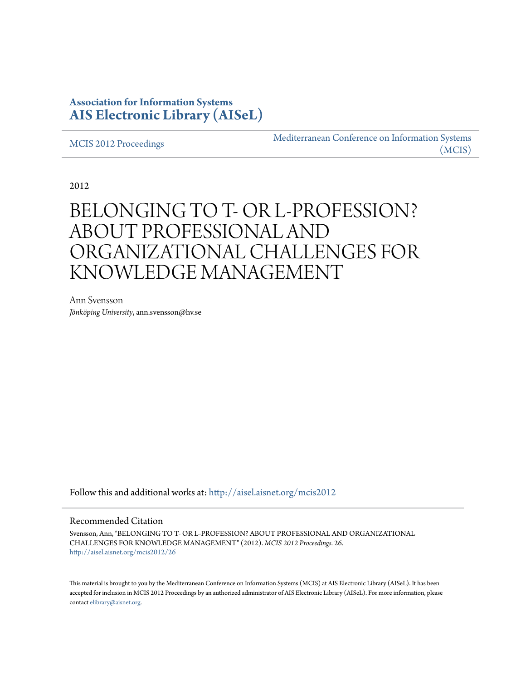## **Association for Information Systems [AIS Electronic Library \(AISeL\)](http://aisel.aisnet.org?utm_source=aisel.aisnet.org%2Fmcis2012%2F26&utm_medium=PDF&utm_campaign=PDFCoverPages)**

[MCIS 2012 Proceedings](http://aisel.aisnet.org/mcis2012?utm_source=aisel.aisnet.org%2Fmcis2012%2F26&utm_medium=PDF&utm_campaign=PDFCoverPages)

[Mediterranean Conference on Information Systems](http://aisel.aisnet.org/mcis?utm_source=aisel.aisnet.org%2Fmcis2012%2F26&utm_medium=PDF&utm_campaign=PDFCoverPages) [\(MCIS\)](http://aisel.aisnet.org/mcis?utm_source=aisel.aisnet.org%2Fmcis2012%2F26&utm_medium=PDF&utm_campaign=PDFCoverPages)

2012

# BELONGING TO T- OR L-PROFESSION? ABOUT PROFESSIONAL AND ORGANIZATIONAL CHALLENGES FOR KNOWLEDGE MANAGEMENT

Ann Svensson *Jönköping University*, ann.svensson@hv.se

Follow this and additional works at: [http://aisel.aisnet.org/mcis2012](http://aisel.aisnet.org/mcis2012?utm_source=aisel.aisnet.org%2Fmcis2012%2F26&utm_medium=PDF&utm_campaign=PDFCoverPages)

#### Recommended Citation

Svensson, Ann, "BELONGING TO T- OR L-PROFESSION? ABOUT PROFESSIONAL AND ORGANIZATIONAL CHALLENGES FOR KNOWLEDGE MANAGEMENT" (2012). *MCIS 2012 Proceedings*. 26. [http://aisel.aisnet.org/mcis2012/26](http://aisel.aisnet.org/mcis2012/26?utm_source=aisel.aisnet.org%2Fmcis2012%2F26&utm_medium=PDF&utm_campaign=PDFCoverPages)

This material is brought to you by the Mediterranean Conference on Information Systems (MCIS) at AIS Electronic Library (AISeL). It has been accepted for inclusion in MCIS 2012 Proceedings by an authorized administrator of AIS Electronic Library (AISeL). For more information, please contact [elibrary@aisnet.org.](mailto:elibrary@aisnet.org%3E)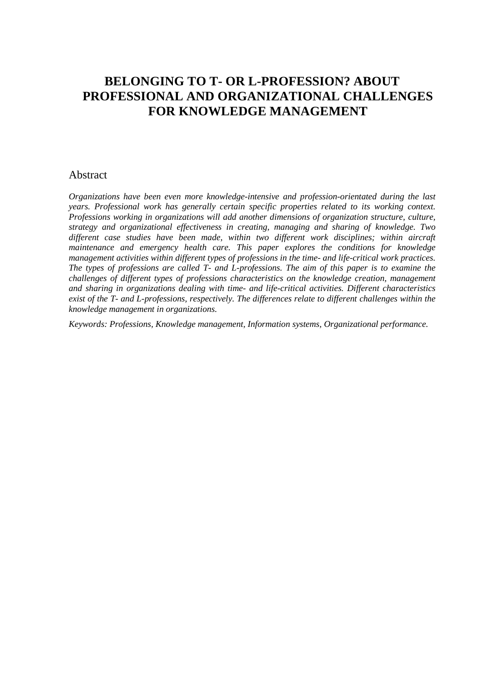## **BELONGING TO T- OR L-PROFESSION? ABOUT PROFESSIONAL AND ORGANIZATIONAL CHALLENGES FOR KNOWLEDGE MANAGEMENT**

## Abstract

*Organizations have been even more knowledge-intensive and profession-orientated during the last years. Professional work has generally certain specific properties related to its working context. Professions working in organizations will add another dimensions of organization structure, culture, strategy and organizational effectiveness in creating, managing and sharing of knowledge. Two different case studies have been made, within two different work disciplines; within aircraft maintenance and emergency health care. This paper explores the conditions for knowledge management activities within different types of professions in the time- and life-critical work practices. The types of professions are called T- and L-professions. The aim of this paper is to examine the challenges of different types of professions characteristics on the knowledge creation, management and sharing in organizations dealing with time- and life-critical activities. Different characteristics exist of the T- and L-professions, respectively. The differences relate to different challenges within the knowledge management in organizations.* 

*Keywords: Professions, Knowledge management, Information systems, Organizational performance.*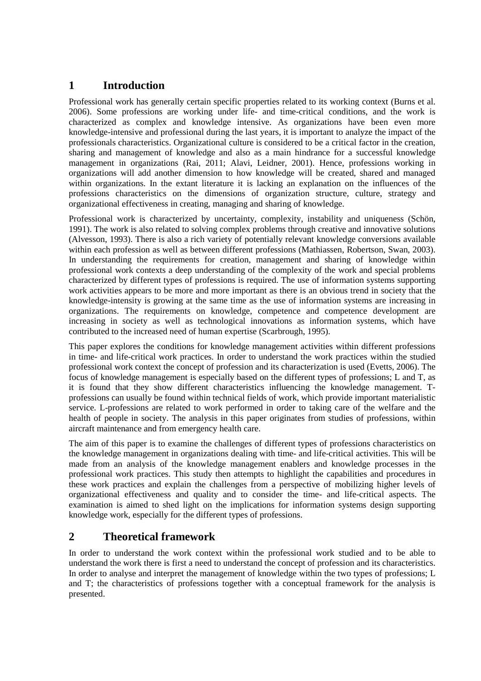## **1 Introduction**

Professional work has generally certain specific properties related to its working context (Burns et al. 2006). Some professions are working under life- and time-critical conditions, and the work is characterized as complex and knowledge intensive. As organizations have been even more knowledge-intensive and professional during the last years, it is important to analyze the impact of the professionals characteristics. Organizational culture is considered to be a critical factor in the creation, sharing and management of knowledge and also as a main hindrance for a successful knowledge management in organizations (Rai, 2011; Alavi, Leidner, 2001). Hence, professions working in organizations will add another dimension to how knowledge will be created, shared and managed within organizations. In the extant literature it is lacking an explanation on the influences of the professions characteristics on the dimensions of organization structure, culture, strategy and organizational effectiveness in creating, managing and sharing of knowledge.

Professional work is characterized by uncertainty, complexity, instability and uniqueness (Schön, 1991). The work is also related to solving complex problems through creative and innovative solutions (Alvesson, 1993). There is also a rich variety of potentially relevant knowledge conversions available within each profession as well as between different professions (Mathiassen, Robertson, Swan, 2003). In understanding the requirements for creation, management and sharing of knowledge within professional work contexts a deep understanding of the complexity of the work and special problems characterized by different types of professions is required. The use of information systems supporting work activities appears to be more and more important as there is an obvious trend in society that the knowledge-intensity is growing at the same time as the use of information systems are increasing in organizations. The requirements on knowledge, competence and competence development are increasing in society as well as technological innovations as information systems, which have contributed to the increased need of human expertise (Scarbrough, 1995).

This paper explores the conditions for knowledge management activities within different professions in time- and life-critical work practices. In order to understand the work practices within the studied professional work context the concept of profession and its characterization is used (Evetts, 2006). The focus of knowledge management is especially based on the different types of professions; L and T, as it is found that they show different characteristics influencing the knowledge management. Tprofessions can usually be found within technical fields of work, which provide important materialistic service. L-professions are related to work performed in order to taking care of the welfare and the health of people in society. The analysis in this paper originates from studies of professions, within aircraft maintenance and from emergency health care.

The aim of this paper is to examine the challenges of different types of professions characteristics on the knowledge management in organizations dealing with time- and life-critical activities. This will be made from an analysis of the knowledge management enablers and knowledge processes in the professional work practices. This study then attempts to highlight the capabilities and procedures in these work practices and explain the challenges from a perspective of mobilizing higher levels of organizational effectiveness and quality and to consider the time- and life-critical aspects. The examination is aimed to shed light on the implications for information systems design supporting knowledge work, especially for the different types of professions.

## **2 Theoretical framework**

In order to understand the work context within the professional work studied and to be able to understand the work there is first a need to understand the concept of profession and its characteristics. In order to analyse and interpret the management of knowledge within the two types of professions; L and T; the characteristics of professions together with a conceptual framework for the analysis is presented.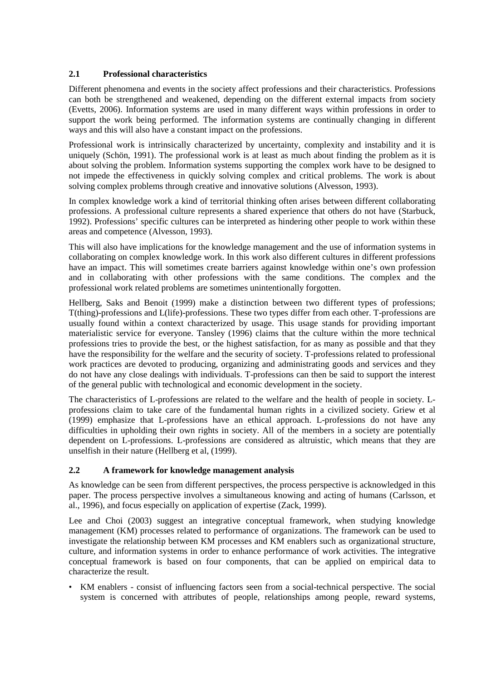#### **2.1 Professional characteristics**

Different phenomena and events in the society affect professions and their characteristics. Professions can both be strengthened and weakened, depending on the different external impacts from society (Evetts, 2006). Information systems are used in many different ways within professions in order to support the work being performed. The information systems are continually changing in different ways and this will also have a constant impact on the professions.

Professional work is intrinsically characterized by uncertainty, complexity and instability and it is uniquely (Schön, 1991). The professional work is at least as much about finding the problem as it is about solving the problem. Information systems supporting the complex work have to be designed to not impede the effectiveness in quickly solving complex and critical problems. The work is about solving complex problems through creative and innovative solutions (Alvesson, 1993).

In complex knowledge work a kind of territorial thinking often arises between different collaborating professions. A professional culture represents a shared experience that others do not have (Starbuck, 1992). Professions' specific cultures can be interpreted as hindering other people to work within these areas and competence (Alvesson, 1993).

This will also have implications for the knowledge management and the use of information systems in collaborating on complex knowledge work. In this work also different cultures in different professions have an impact. This will sometimes create barriers against knowledge within one's own profession and in collaborating with other professions with the same conditions. The complex and the professional work related problems are sometimes unintentionally forgotten.

Hellberg, Saks and Benoit (1999) make a distinction between two different types of professions; T(thing)-professions and L(life)-professions. These two types differ from each other. T-professions are usually found within a context characterized by usage. This usage stands for providing important materialistic service for everyone. Tansley (1996) claims that the culture within the more technical professions tries to provide the best, or the highest satisfaction, for as many as possible and that they have the responsibility for the welfare and the security of society. T-professions related to professional work practices are devoted to producing, organizing and administrating goods and services and they do not have any close dealings with individuals. T-professions can then be said to support the interest of the general public with technological and economic development in the society.

The characteristics of L-professions are related to the welfare and the health of people in society. Lprofessions claim to take care of the fundamental human rights in a civilized society. Griew et al (1999) emphasize that L-professions have an ethical approach. L-professions do not have any difficulties in upholding their own rights in society. All of the members in a society are potentially dependent on L-professions. L-professions are considered as altruistic, which means that they are unselfish in their nature (Hellberg et al, (1999).

## **2.2 A framework for knowledge management analysis**

As knowledge can be seen from different perspectives, the process perspective is acknowledged in this paper. The process perspective involves a simultaneous knowing and acting of humans (Carlsson, et al., 1996), and focus especially on application of expertise (Zack, 1999).

Lee and Choi (2003) suggest an integrative conceptual framework, when studying knowledge management (KM) processes related to performance of organizations. The framework can be used to investigate the relationship between KM processes and KM enablers such as organizational structure, culture, and information systems in order to enhance performance of work activities. The integrative conceptual framework is based on four components, that can be applied on empirical data to characterize the result.

• KM enablers - consist of influencing factors seen from a social-technical perspective. The social system is concerned with attributes of people, relationships among people, reward systems,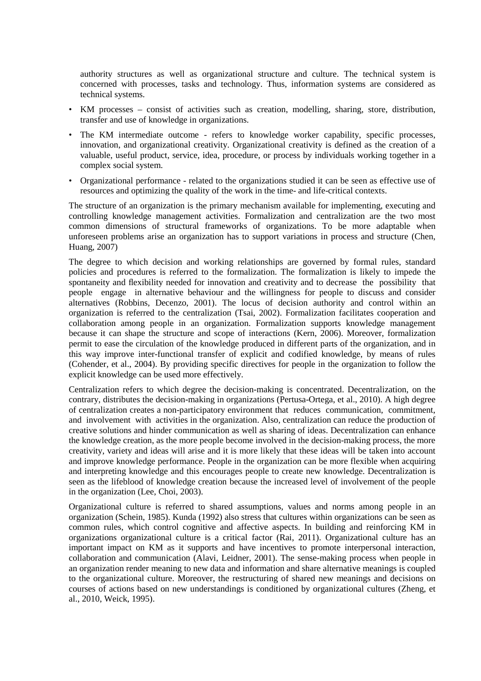authority structures as well as organizational structure and culture. The technical system is concerned with processes, tasks and technology. Thus, information systems are considered as technical systems.

- KM processes consist of activities such as creation, modelling, sharing, store, distribution, transfer and use of knowledge in organizations.
- The KM intermediate outcome refers to knowledge worker capability, specific processes, innovation, and organizational creativity. Organizational creativity is defined as the creation of a valuable, useful product, service, idea, procedure, or process by individuals working together in a complex social system.
- Organizational performance related to the organizations studied it can be seen as effective use of resources and optimizing the quality of the work in the time- and life-critical contexts.

The structure of an organization is the primary mechanism available for implementing, executing and controlling knowledge management activities. Formalization and centralization are the two most common dimensions of structural frameworks of organizations. To be more adaptable when unforeseen problems arise an organization has to support variations in process and structure (Chen, Huang, 2007)

The degree to which decision and working relationships are governed by formal rules, standard policies and procedures is referred to the formalization. The formalization is likely to impede the spontaneity and flexibility needed for innovation and creativity and to decrease the possibility that people engage in alternative behaviour and the willingness for people to discuss and consider alternatives (Robbins, Decenzo, 2001). The locus of decision authority and control within an organization is referred to the centralization (Tsai, 2002). Formalization facilitates cooperation and collaboration among people in an organization. Formalization supports knowledge management because it can shape the structure and scope of interactions (Kern, 2006). Moreover, formalization permit to ease the circulation of the knowledge produced in different parts of the organization, and in this way improve inter-functional transfer of explicit and codified knowledge, by means of rules (Cohender, et al., 2004). By providing specific directives for people in the organization to follow the explicit knowledge can be used more effectively.

Centralization refers to which degree the decision-making is concentrated. Decentralization, on the contrary, distributes the decision-making in organizations (Pertusa-Ortega, et al., 2010). A high degree of centralization creates a non-participatory environment that reduces communication, commitment, and involvement with activities in the organization. Also, centralization can reduce the production of creative solutions and hinder communication as well as sharing of ideas. Decentralization can enhance the knowledge creation, as the more people become involved in the decision-making process, the more creativity, variety and ideas will arise and it is more likely that these ideas will be taken into account and improve knowledge performance. People in the organization can be more flexible when acquiring and interpreting knowledge and this encourages people to create new knowledge. Decentralization is seen as the lifeblood of knowledge creation because the increased level of involvement of the people in the organization (Lee, Choi, 2003).

Organizational culture is referred to shared assumptions, values and norms among people in an organization (Schein, 1985). Kunda (1992) also stress that cultures within organizations can be seen as common rules, which control cognitive and affective aspects. In building and reinforcing KM in organizations organizational culture is a critical factor (Rai, 2011). Organizational culture has an important impact on KM as it supports and have incentives to promote interpersonal interaction, collaboration and communication (Alavi, Leidner, 2001). The sense-making process when people in an organization render meaning to new data and information and share alternative meanings is coupled to the organizational culture. Moreover, the restructuring of shared new meanings and decisions on courses of actions based on new understandings is conditioned by organizational cultures (Zheng, et al., 2010, Weick, 1995).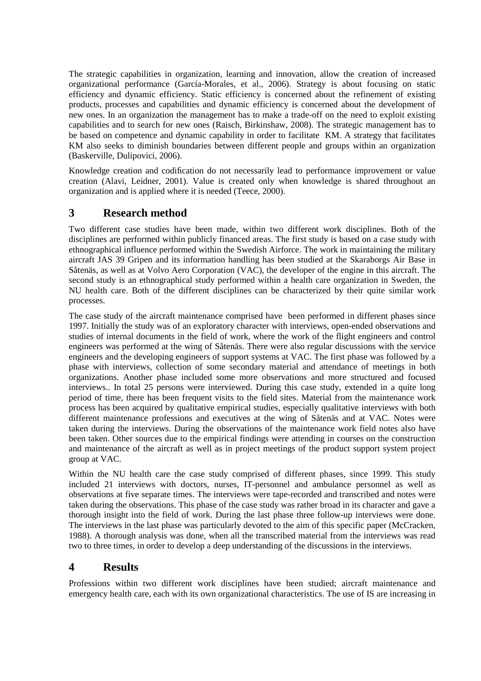The strategic capabilities in organization, learning and innovation, allow the creation of increased organizational performance (García-Morales, et al., 2006). Strategy is about focusing on static efficiency and dynamic efficiency. Static efficiency is concerned about the refinement of existing products, processes and capabilities and dynamic efficiency is concerned about the development of new ones. In an organization the management has to make a trade-off on the need to exploit existing capabilities and to search for new ones (Raisch, Birkinshaw, 2008). The strategic management has to be based on competence and dynamic capability in order to facilitate KM. A strategy that facilitates KM also seeks to diminish boundaries between different people and groups within an organization (Baskerville, Dulipovici, 2006).

Knowledge creation and codification do not necessarily lead to performance improvement or value creation (Alavi, Leidner, 2001). Value is created only when knowledge is shared throughout an organization and is applied where it is needed (Teece, 2000).

## **3 Research method**

Two different case studies have been made, within two different work disciplines. Both of the disciplines are performed within publicly financed areas. The first study is based on a case study with ethnographical influence performed within the Swedish Airforce. The work in maintaining the military aircraft JAS 39 Gripen and its information handling has been studied at the Skaraborgs Air Base in Såtenäs, as well as at Volvo Aero Corporation (VAC), the developer of the engine in this aircraft. The second study is an ethnographical study performed within a health care organization in Sweden, the NU health care. Both of the different disciplines can be characterized by their quite similar work processes.

The case study of the aircraft maintenance comprised have been performed in different phases since 1997. Initially the study was of an exploratory character with interviews, open-ended observations and studies of internal documents in the field of work, where the work of the flight engineers and control engineers was performed at the wing of Såtenäs. There were also regular discussions with the service engineers and the developing engineers of support systems at VAC. The first phase was followed by a phase with interviews, collection of some secondary material and attendance of meetings in both organizations. Another phase included some more observations and more structured and focused interviews.. In total 25 persons were interviewed. During this case study, extended in a quite long period of time, there has been frequent visits to the field sites. Material from the maintenance work process has been acquired by qualitative empirical studies, especially qualitative interviews with both different maintenance professions and executives at the wing of Såtenäs and at VAC. Notes were taken during the interviews. During the observations of the maintenance work field notes also have been taken. Other sources due to the empirical findings were attending in courses on the construction and maintenance of the aircraft as well as in project meetings of the product support system project group at VAC.

Within the NU health care the case study comprised of different phases, since 1999. This study included 21 interviews with doctors, nurses, IT-personnel and ambulance personnel as well as observations at five separate times. The interviews were tape-recorded and transcribed and notes were taken during the observations. This phase of the case study was rather broad in its character and gave a thorough insight into the field of work. During the last phase three follow-up interviews were done. The interviews in the last phase was particularly devoted to the aim of this specific paper (McCracken, 1988). A thorough analysis was done, when all the transcribed material from the interviews was read two to three times, in order to develop a deep understanding of the discussions in the interviews.

## **4 Results**

Professions within two different work disciplines have been studied; aircraft maintenance and emergency health care, each with its own organizational characteristics. The use of IS are increasing in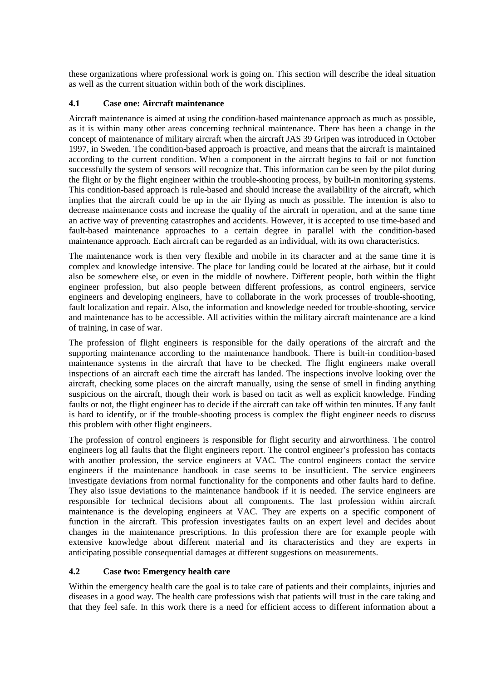these organizations where professional work is going on. This section will describe the ideal situation as well as the current situation within both of the work disciplines.

#### **4.1 Case one: Aircraft maintenance**

Aircraft maintenance is aimed at using the condition-based maintenance approach as much as possible, as it is within many other areas concerning technical maintenance. There has been a change in the concept of maintenance of military aircraft when the aircraft JAS 39 Gripen was introduced in October 1997, in Sweden. The condition-based approach is proactive, and means that the aircraft is maintained according to the current condition. When a component in the aircraft begins to fail or not function successfully the system of sensors will recognize that. This information can be seen by the pilot during the flight or by the flight engineer within the trouble-shooting process, by built-in monitoring systems. This condition-based approach is rule-based and should increase the availability of the aircraft, which implies that the aircraft could be up in the air flying as much as possible. The intention is also to decrease maintenance costs and increase the quality of the aircraft in operation, and at the same time an active way of preventing catastrophes and accidents. However, it is accepted to use time-based and fault-based maintenance approaches to a certain degree in parallel with the condition-based maintenance approach. Each aircraft can be regarded as an individual, with its own characteristics.

The maintenance work is then very flexible and mobile in its character and at the same time it is complex and knowledge intensive. The place for landing could be located at the airbase, but it could also be somewhere else, or even in the middle of nowhere. Different people, both within the flight engineer profession, but also people between different professions, as control engineers, service engineers and developing engineers, have to collaborate in the work processes of trouble-shooting, fault localization and repair. Also, the information and knowledge needed for trouble-shooting, service and maintenance has to be accessible. All activities within the military aircraft maintenance are a kind of training, in case of war.

The profession of flight engineers is responsible for the daily operations of the aircraft and the supporting maintenance according to the maintenance handbook. There is built-in condition-based maintenance systems in the aircraft that have to be checked. The flight engineers make overall inspections of an aircraft each time the aircraft has landed. The inspections involve looking over the aircraft, checking some places on the aircraft manually, using the sense of smell in finding anything suspicious on the aircraft, though their work is based on tacit as well as explicit knowledge. Finding faults or not, the flight engineer has to decide if the aircraft can take off within ten minutes. If any fault is hard to identify, or if the trouble-shooting process is complex the flight engineer needs to discuss this problem with other flight engineers.

The profession of control engineers is responsible for flight security and airworthiness. The control engineers log all faults that the flight engineers report. The control engineer's profession has contacts with another profession, the service engineers at VAC. The control engineers contact the service engineers if the maintenance handbook in case seems to be insufficient. The service engineers investigate deviations from normal functionality for the components and other faults hard to define. They also issue deviations to the maintenance handbook if it is needed. The service engineers are responsible for technical decisions about all components. The last profession within aircraft maintenance is the developing engineers at VAC. They are experts on a specific component of function in the aircraft. This profession investigates faults on an expert level and decides about changes in the maintenance prescriptions. In this profession there are for example people with extensive knowledge about different material and its characteristics and they are experts in anticipating possible consequential damages at different suggestions on measurements.

## **4.2 Case two: Emergency health care**

Within the emergency health care the goal is to take care of patients and their complaints, injuries and diseases in a good way. The health care professions wish that patients will trust in the care taking and that they feel safe. In this work there is a need for efficient access to different information about a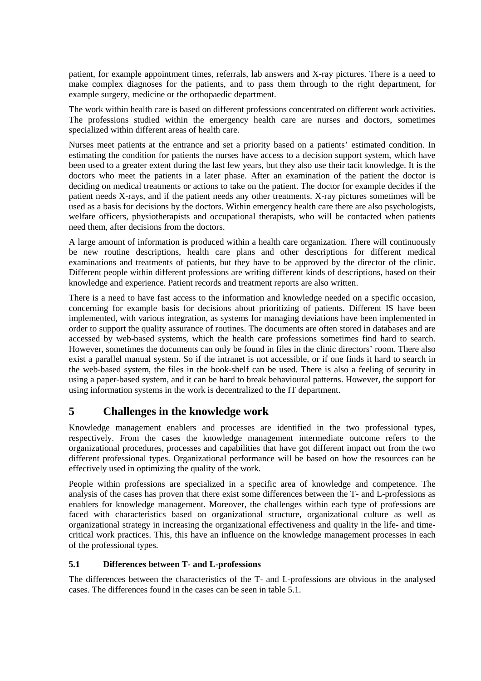patient, for example appointment times, referrals, lab answers and X-ray pictures. There is a need to make complex diagnoses for the patients, and to pass them through to the right department, for example surgery, medicine or the orthopaedic department.

The work within health care is based on different professions concentrated on different work activities. The professions studied within the emergency health care are nurses and doctors, sometimes specialized within different areas of health care.

Nurses meet patients at the entrance and set a priority based on a patients' estimated condition. In estimating the condition for patients the nurses have access to a decision support system, which have been used to a greater extent during the last few years, but they also use their tacit knowledge. It is the doctors who meet the patients in a later phase. After an examination of the patient the doctor is deciding on medical treatments or actions to take on the patient. The doctor for example decides if the patient needs X-rays, and if the patient needs any other treatments. X-ray pictures sometimes will be used as a basis for decisions by the doctors. Within emergency health care there are also psychologists, welfare officers, physiotherapists and occupational therapists, who will be contacted when patients need them, after decisions from the doctors.

A large amount of information is produced within a health care organization. There will continuously be new routine descriptions, health care plans and other descriptions for different medical examinations and treatments of patients, but they have to be approved by the director of the clinic. Different people within different professions are writing different kinds of descriptions, based on their knowledge and experience. Patient records and treatment reports are also written.

There is a need to have fast access to the information and knowledge needed on a specific occasion, concerning for example basis for decisions about prioritizing of patients. Different IS have been implemented, with various integration, as systems for managing deviations have been implemented in order to support the quality assurance of routines. The documents are often stored in databases and are accessed by web-based systems, which the health care professions sometimes find hard to search. However, sometimes the documents can only be found in files in the clinic directors' room. There also exist a parallel manual system. So if the intranet is not accessible, or if one finds it hard to search in the web-based system, the files in the book-shelf can be used. There is also a feeling of security in using a paper-based system, and it can be hard to break behavioural patterns. However, the support for using information systems in the work is decentralized to the IT department.

## **5 Challenges in the knowledge work**

Knowledge management enablers and processes are identified in the two professional types, respectively. From the cases the knowledge management intermediate outcome refers to the organizational procedures, processes and capabilities that have got different impact out from the two different professional types. Organizational performance will be based on how the resources can be effectively used in optimizing the quality of the work.

People within professions are specialized in a specific area of knowledge and competence. The analysis of the cases has proven that there exist some differences between the T- and L-professions as enablers for knowledge management. Moreover, the challenges within each type of professions are faced with characteristics based on organizational structure, organizational culture as well as organizational strategy in increasing the organizational effectiveness and quality in the life- and timecritical work practices. This, this have an influence on the knowledge management processes in each of the professional types.

## **5.1 Differences between T- and L-professions**

The differences between the characteristics of the T- and L-professions are obvious in the analysed cases. The differences found in the cases can be seen in table 5.1.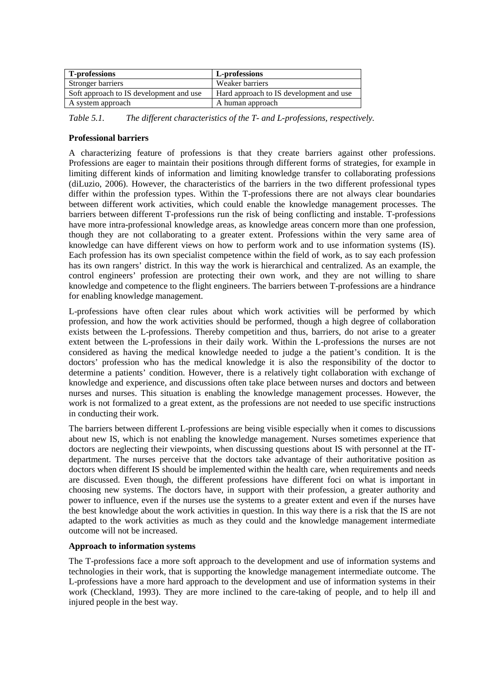| <b>T-professions</b>                    | L-professions                           |
|-----------------------------------------|-----------------------------------------|
| Stronger barriers                       | Weaker barriers                         |
| Soft approach to IS development and use | Hard approach to IS development and use |
| A system approach                       | A human approach                        |

*Table 5.1. The different characteristics of the T- and L-professions, respectively.* 

#### **Professional barriers**

A characterizing feature of professions is that they create barriers against other professions. Professions are eager to maintain their positions through different forms of strategies, for example in limiting different kinds of information and limiting knowledge transfer to collaborating professions (diLuzio, 2006). However, the characteristics of the barriers in the two different professional types differ within the profession types. Within the T-professions there are not always clear boundaries between different work activities, which could enable the knowledge management processes. The barriers between different T-professions run the risk of being conflicting and instable. T-professions have more intra-professional knowledge areas, as knowledge areas concern more than one profession, though they are not collaborating to a greater extent. Professions within the very same area of knowledge can have different views on how to perform work and to use information systems (IS). Each profession has its own specialist competence within the field of work, as to say each profession has its own rangers' district. In this way the work is hierarchical and centralized. As an example, the control engineers' profession are protecting their own work, and they are not willing to share knowledge and competence to the flight engineers. The barriers between T-professions are a hindrance for enabling knowledge management.

L-professions have often clear rules about which work activities will be performed by which profession, and how the work activities should be performed, though a high degree of collaboration exists between the L-professions. Thereby competition and thus, barriers, do not arise to a greater extent between the L-professions in their daily work. Within the L-professions the nurses are not considered as having the medical knowledge needed to judge a the patient's condition. It is the doctors' profession who has the medical knowledge it is also the responsibility of the doctor to determine a patients' condition. However, there is a relatively tight collaboration with exchange of knowledge and experience, and discussions often take place between nurses and doctors and between nurses and nurses. This situation is enabling the knowledge management processes. However, the work is not formalized to a great extent, as the professions are not needed to use specific instructions in conducting their work.

The barriers between different L-professions are being visible especially when it comes to discussions about new IS, which is not enabling the knowledge management. Nurses sometimes experience that doctors are neglecting their viewpoints, when discussing questions about IS with personnel at the ITdepartment. The nurses perceive that the doctors take advantage of their authoritative position as doctors when different IS should be implemented within the health care, when requirements and needs are discussed. Even though, the different professions have different foci on what is important in choosing new systems. The doctors have, in support with their profession, a greater authority and power to influence, even if the nurses use the systems to a greater extent and even if the nurses have the best knowledge about the work activities in question. In this way there is a risk that the IS are not adapted to the work activities as much as they could and the knowledge management intermediate outcome will not be increased.

#### **Approach to information systems**

The T-professions face a more soft approach to the development and use of information systems and technologies in their work, that is supporting the knowledge management intermediate outcome. The L-professions have a more hard approach to the development and use of information systems in their work (Checkland, 1993). They are more inclined to the care-taking of people, and to help ill and injured people in the best way.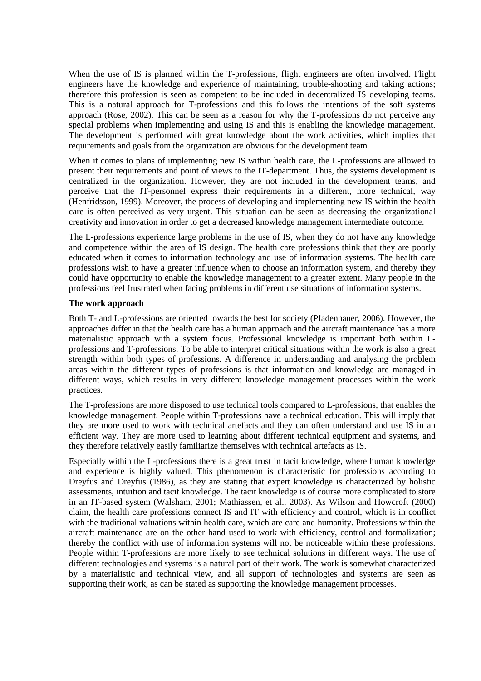When the use of IS is planned within the T-professions, flight engineers are often involved. Flight engineers have the knowledge and experience of maintaining, trouble-shooting and taking actions; therefore this profession is seen as competent to be included in decentralized IS developing teams. This is a natural approach for T-professions and this follows the intentions of the soft systems approach (Rose, 2002). This can be seen as a reason for why the T-professions do not perceive any special problems when implementing and using IS and this is enabling the knowledge management. The development is performed with great knowledge about the work activities, which implies that requirements and goals from the organization are obvious for the development team.

When it comes to plans of implementing new IS within health care, the L-professions are allowed to present their requirements and point of views to the IT-department. Thus, the systems development is centralized in the organization. However, they are not included in the development teams, and perceive that the IT-personnel express their requirements in a different, more technical, way (Henfridsson, 1999). Moreover, the process of developing and implementing new IS within the health care is often perceived as very urgent. This situation can be seen as decreasing the organizational creativity and innovation in order to get a decreased knowledge management intermediate outcome.

The L-professions experience large problems in the use of IS, when they do not have any knowledge and competence within the area of IS design. The health care professions think that they are poorly educated when it comes to information technology and use of information systems. The health care professions wish to have a greater influence when to choose an information system, and thereby they could have opportunity to enable the knowledge management to a greater extent. Many people in the professions feel frustrated when facing problems in different use situations of information systems.

#### **The work approach**

Both T- and L-professions are oriented towards the best for society (Pfadenhauer, 2006). However, the approaches differ in that the health care has a human approach and the aircraft maintenance has a more materialistic approach with a system focus. Professional knowledge is important both within Lprofessions and T-professions. To be able to interpret critical situations within the work is also a great strength within both types of professions. A difference in understanding and analysing the problem areas within the different types of professions is that information and knowledge are managed in different ways, which results in very different knowledge management processes within the work practices.

The T-professions are more disposed to use technical tools compared to L-professions, that enables the knowledge management. People within T-professions have a technical education. This will imply that they are more used to work with technical artefacts and they can often understand and use IS in an efficient way. They are more used to learning about different technical equipment and systems, and they therefore relatively easily familiarize themselves with technical artefacts as IS.

Especially within the L-professions there is a great trust in tacit knowledge, where human knowledge and experience is highly valued. This phenomenon is characteristic for professions according to Dreyfus and Dreyfus (1986), as they are stating that expert knowledge is characterized by holistic assessments, intuition and tacit knowledge. The tacit knowledge is of course more complicated to store in an IT-based system (Walsham, 2001; Mathiassen, et al., 2003). As Wilson and Howcroft (2000) claim, the health care professions connect IS and IT with efficiency and control, which is in conflict with the traditional valuations within health care, which are care and humanity. Professions within the aircraft maintenance are on the other hand used to work with efficiency, control and formalization; thereby the conflict with use of information systems will not be noticeable within these professions. People within T-professions are more likely to see technical solutions in different ways. The use of different technologies and systems is a natural part of their work. The work is somewhat characterized by a materialistic and technical view, and all support of technologies and systems are seen as supporting their work, as can be stated as supporting the knowledge management processes.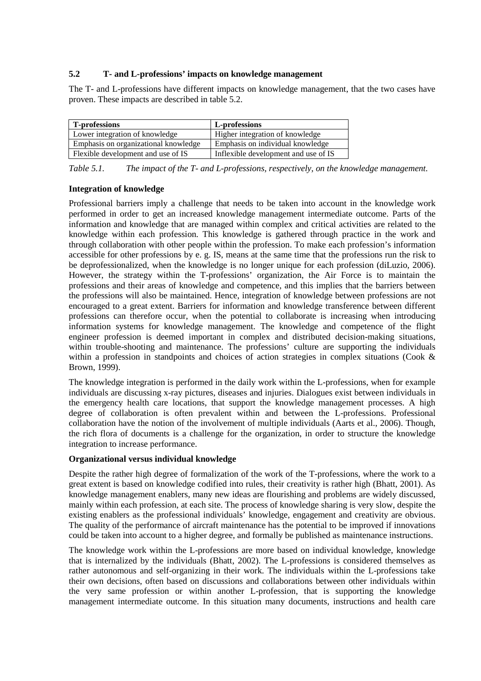#### **5.2 T- and L-professions' impacts on knowledge management**

The T- and L-professions have different impacts on knowledge management, that the two cases have proven. These impacts are described in table 5.2.

| T-professions                        | L-professions                        |
|--------------------------------------|--------------------------------------|
| Lower integration of knowledge       | Higher integration of knowledge      |
| Emphasis on organizational knowledge | Emphasis on individual knowledge     |
| Flexible development and use of IS   | Inflexible development and use of IS |

*Table 5.1. The impact of the T- and L-professions, respectively, on the knowledge management.* 

#### **Integration of knowledge**

Professional barriers imply a challenge that needs to be taken into account in the knowledge work performed in order to get an increased knowledge management intermediate outcome. Parts of the information and knowledge that are managed within complex and critical activities are related to the knowledge within each profession. This knowledge is gathered through practice in the work and through collaboration with other people within the profession. To make each profession's information accessible for other professions by e. g. IS, means at the same time that the professions run the risk to be deprofessionalized, when the knowledge is no longer unique for each profession (diLuzio, 2006). However, the strategy within the T-professions' organization, the Air Force is to maintain the professions and their areas of knowledge and competence, and this implies that the barriers between the professions will also be maintained. Hence, integration of knowledge between professions are not encouraged to a great extent. Barriers for information and knowledge transference between different professions can therefore occur, when the potential to collaborate is increasing when introducing information systems for knowledge management. The knowledge and competence of the flight engineer profession is deemed important in complex and distributed decision-making situations, within trouble-shooting and maintenance. The professions' culture are supporting the individuals within a profession in standpoints and choices of action strategies in complex situations (Cook & Brown, 1999).

The knowledge integration is performed in the daily work within the L-professions, when for example individuals are discussing x-ray pictures, diseases and injuries. Dialogues exist between individuals in the emergency health care locations, that support the knowledge management processes. A high degree of collaboration is often prevalent within and between the L-professions. Professional collaboration have the notion of the involvement of multiple individuals (Aarts et al., 2006). Though, the rich flora of documents is a challenge for the organization, in order to structure the knowledge integration to increase performance.

## **Organizational versus individual knowledge**

Despite the rather high degree of formalization of the work of the T-professions, where the work to a great extent is based on knowledge codified into rules, their creativity is rather high (Bhatt, 2001). As knowledge management enablers, many new ideas are flourishing and problems are widely discussed, mainly within each profession, at each site. The process of knowledge sharing is very slow, despite the existing enablers as the professional individuals' knowledge, engagement and creativity are obvious. The quality of the performance of aircraft maintenance has the potential to be improved if innovations could be taken into account to a higher degree, and formally be published as maintenance instructions.

The knowledge work within the L-professions are more based on individual knowledge, knowledge that is internalized by the individuals (Bhatt, 2002). The L-professions is considered themselves as rather autonomous and self-organizing in their work. The individuals within the L-professions take their own decisions, often based on discussions and collaborations between other individuals within the very same profession or within another L-profession, that is supporting the knowledge management intermediate outcome. In this situation many documents, instructions and health care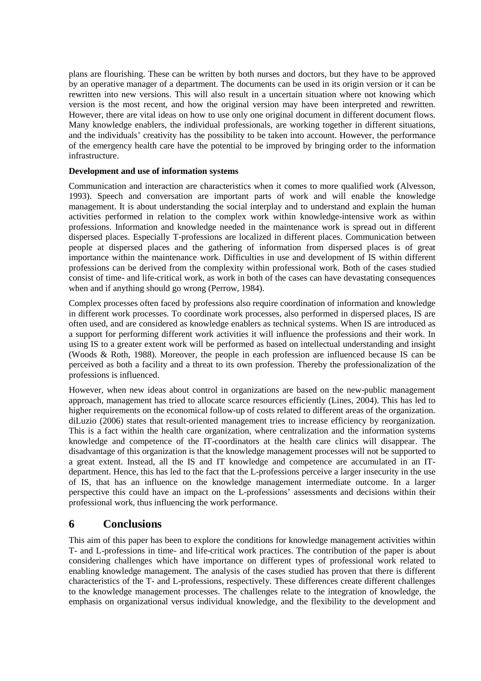plans are flourishing. These can be written by both nurses and doctors, but they have to be approved by an operative manager of a department. The documents can be used in its origin version or it can be rewritten into new versions. This will also result in a uncertain situation where not knowing which version is the most recent, and how the original version may have been interpreted and rewritten. However, there are vital ideas on how to use only one original document in different document flows. Many knowledge enablers, the individual professionals, are working together in different situations, and the individuals' creativity has the possibility to be taken into account. However, the performance of the emergency health care have the potential to be improved by bringing order to the information infrastructure.

#### **Development and use of information systems**

Communication and interaction are characteristics when it comes to more qualified work (Alvesson, 1993). Speech and conversation are important parts of work and will enable the knowledge management. It is about understanding the social interplay and to understand and explain the human activities performed in relation to the complex work within knowledge-intensive work as within professions. Information and knowledge needed in the maintenance work is spread out in different dispersed places. Especially T-professions are localized in different places. Communication between people at dispersed places and the gathering of information from dispersed places is of great importance within the maintenance work. Difficulties in use and development of IS within different professions can be derived from the complexity within professional work. Both of the cases studied consist of time- and life-critical work, as work in both of the cases can have devastating consequences when and if anything should go wrong (Perrow, 1984).

Complex processes often faced by professions also require coordination of information and knowledge in different work processes. To coordinate work processes, also performed in dispersed places, IS are often used, and are considered as knowledge enablers as technical systems. When IS are introduced as a support for performing different work activities it will influence the professions and their work. In using IS to a greater extent work will be performed as based on intellectual understanding and insight (Woods & Roth, 1988). Moreover, the people in each profession are influenced because IS can be perceived as both a facility and a threat to its own profession. Thereby the professionalization of the professions is influenced.

However, when new ideas about control in organizations are based on the new-public management approach, management has tried to allocate scarce resources efficiently (Lines, 2004). This has led to higher requirements on the economical follow-up of costs related to different areas of the organization. diLuzio (2006) states that result-oriented management tries to increase efficiency by reorganization. This is a fact within the health care organization, where centralization and the information systems knowledge and competence of the IT-coordinators at the health care clinics will disappear. The disadvantage of this organization is that the knowledge management processes will not be supported to a great extent. Instead, all the IS and IT knowledge and competence are accumulated in an ITdepartment. Hence, this has led to the fact that the L-professions perceive a larger insecurity in the use of IS, that has an influence on the knowledge management intermediate outcome. In a larger perspective this could have an impact on the L-professions' assessments and decisions within their professional work, thus influencing the work performance.

## **6 Conclusions**

This aim of this paper has been to explore the conditions for knowledge management activities within T- and L-professions in time- and life-critical work practices. The contribution of the paper is about considering challenges which have importance on different types of professional work related to enabling knowledge management. The analysis of the cases studied has proven that there is different characteristics of the T- and L-professions, respectively. These differences create different challenges to the knowledge management processes. The challenges relate to the integration of knowledge, the emphasis on organizational versus individual knowledge, and the flexibility to the development and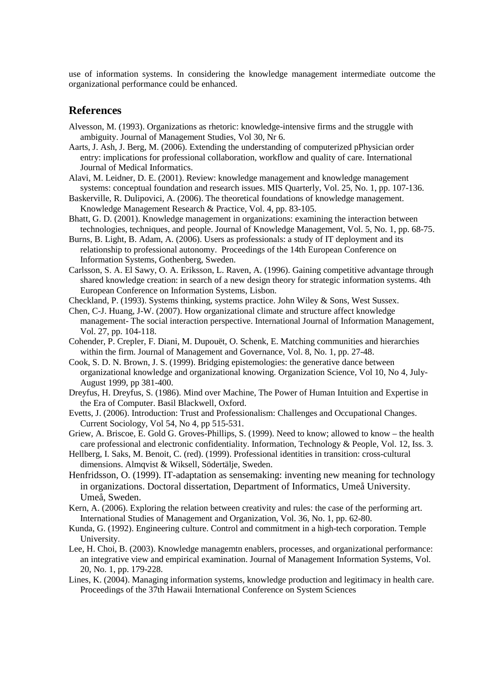use of information systems. In considering the knowledge management intermediate outcome the organizational performance could be enhanced.

## **References**

- Alvesson, M. (1993). Organizations as rhetoric: knowledge-intensive firms and the struggle with ambiguity. Journal of Management Studies, Vol 30, Nr 6.
- Aarts, J. Ash, J. Berg, M. (2006). Extending the understanding of computerized pPhysician order entry: implications for professional collaboration, workflow and quality of care. International Journal of Medical Informatics.
- Alavi, M. Leidner, D. E. (2001). Review: knowledge management and knowledge management systems: conceptual foundation and research issues. MIS Quarterly, Vol. 25, No. 1, pp. 107-136.
- Baskerville, R. Dulipovici, A. (2006). The theoretical foundations of knowledge management. Knowledge Management Research & Practice, Vol. 4, pp. 83-105.
- Bhatt, G. D. (2001). Knowledge management in organizations: examining the interaction between technologies, techniques, and people. Journal of Knowledge Management, Vol. 5, No. 1, pp. 68-75.
- Burns, B. Light, B. Adam, A. (2006). Users as professionals: a study of IT deployment and its relationship to professional autonomy. Proceedings of the 14th European Conference on Information Systems, Gothenberg, Sweden.
- Carlsson, S. A. El Sawy, O. A. Eriksson, L. Raven, A. (1996). Gaining competitive advantage through shared knowledge creation: in search of a new design theory for strategic information systems. 4th European Conference on Information Systems, Lisbon.
- Checkland, P. (1993). Systems thinking, systems practice. John Wiley & Sons, West Sussex.
- Chen, C-J. Huang, J-W. (2007). How organizational climate and structure affect knowledge management- The social interaction perspective. International Journal of Information Management, Vol. 27, pp. 104-118.
- Cohender, P. Crepler, F. Diani, M. Dupouët, O. Schenk, E. Matching communities and hierarchies within the firm. Journal of Management and Governance, Vol. 8, No. 1, pp. 27-48.
- Cook, S. D. N. Brown, J. S. (1999). Bridging epistemologies: the generative dance between organizational knowledge and organizational knowing. Organization Science, Vol 10, No 4, July-August 1999, pp 381-400.
- Dreyfus, H. Dreyfus, S. (1986). Mind over Machine, The Power of Human Intuition and Expertise in the Era of Computer. Basil Blackwell, Oxford.
- Evetts, J. (2006). Introduction: Trust and Professionalism: Challenges and Occupational Changes. Current Sociology, Vol 54, No 4, pp 515-531.
- Griew, A. Briscoe, E. Gold G. Groves-Phillips, S. (1999). Need to know; allowed to know the health care professional and electronic confidentiality. Information, Technology & People, Vol. 12, Iss. 3.
- Hellberg, I. Saks, M. Benoit, C. (red). (1999). Professional identities in transition: cross-cultural dimensions. Almqvist & Wiksell, Södertälje, Sweden.
- Henfridsson, O. (1999). IT-adaptation as sensemaking: inventing new meaning for technology in organizations. Doctoral dissertation, Department of Informatics, Umeå University. Umeå, Sweden.
- Kern, A. (2006). Exploring the relation between creativity and rules: the case of the performing art. International Studies of Management and Organization, Vol. 36, No. 1, pp. 62-80.
- Kunda, G. (1992). Engineering culture. Control and commitment in a high-tech corporation. Temple University.
- Lee, H. Choi, B. (2003). Knowledge managemtn enablers, processes, and organizational performance: an integrative view and empirical examination. Journal of Management Information Systems, Vol. 20, No. 1, pp. 179-228.
- Lines, K. (2004). Managing information systems, knowledge production and legitimacy in health care. Proceedings of the 37th Hawaii International Conference on System Sciences